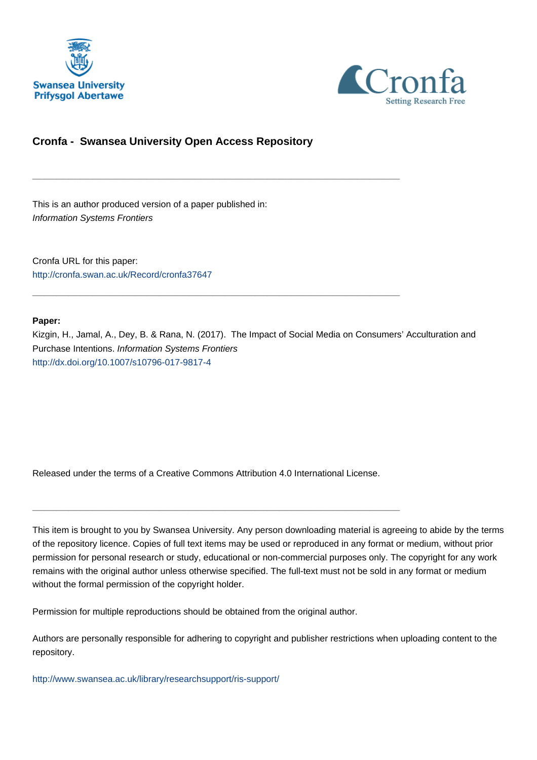



## **Cronfa - Swansea University Open Access Repository**

\_\_\_\_\_\_\_\_\_\_\_\_\_\_\_\_\_\_\_\_\_\_\_\_\_\_\_\_\_\_\_\_\_\_\_\_\_\_\_\_\_\_\_\_\_\_\_\_\_\_\_\_\_\_\_\_\_\_\_\_\_

\_\_\_\_\_\_\_\_\_\_\_\_\_\_\_\_\_\_\_\_\_\_\_\_\_\_\_\_\_\_\_\_\_\_\_\_\_\_\_\_\_\_\_\_\_\_\_\_\_\_\_\_\_\_\_\_\_\_\_\_\_

This is an author produced version of a paper published in: Information Systems Frontiers

Cronfa URL for this paper: <http://cronfa.swan.ac.uk/Record/cronfa37647>

## **Paper:**

Kizgin, H., Jamal, A., Dey, B. & Rana, N. (2017). The Impact of Social Media on Consumers' Acculturation and Purchase Intentions. Information Systems Frontiers <http://dx.doi.org/10.1007/s10796-017-9817-4>

Released under the terms of a Creative Commons Attribution 4.0 International License.

\_\_\_\_\_\_\_\_\_\_\_\_\_\_\_\_\_\_\_\_\_\_\_\_\_\_\_\_\_\_\_\_\_\_\_\_\_\_\_\_\_\_\_\_\_\_\_\_\_\_\_\_\_\_\_\_\_\_\_\_\_

This item is brought to you by Swansea University. Any person downloading material is agreeing to abide by the terms of the repository licence. Copies of full text items may be used or reproduced in any format or medium, without prior permission for personal research or study, educational or non-commercial purposes only. The copyright for any work remains with the original author unless otherwise specified. The full-text must not be sold in any format or medium without the formal permission of the copyright holder.

Permission for multiple reproductions should be obtained from the original author.

Authors are personally responsible for adhering to copyright and publisher restrictions when uploading content to the repository.

[http://www.swansea.ac.uk/library/researchsupport/ris-support/](http://www.swansea.ac.uk/library/researchsupport/ris-support/ )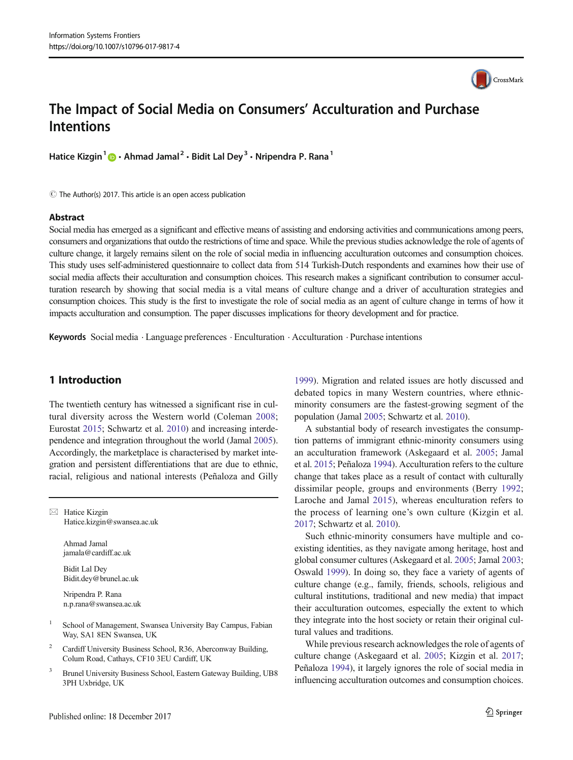

# The Impact of Social Media on Consumers' Acculturation and Purchase **Intentions**

Hatice Kizgin<sup>1</sup>  $\bullet$   $\cdot$  Ahmad Jamal<sup>2</sup>  $\cdot$  Bidit Lal Dey<sup>3</sup>  $\cdot$  Nripendra P. Rana<sup>1</sup>

 $\odot$  The Author(s) 2017. This article is an open access publication

#### Abstract

Social media has emerged as a significant and effective means of assisting and endorsing activities and communications among peers, consumers and organizations that outdo the restrictions of time and space. While the previous studies acknowledge the role of agents of culture change, it largely remains silent on the role of social media in influencing acculturation outcomes and consumption choices. This study uses self-administered questionnaire to collect data from 514 Turkish-Dutch respondents and examines how their use of social media affects their acculturation and consumption choices. This research makes a significant contribution to consumer acculturation research by showing that social media is a vital means of culture change and a driver of acculturation strategies and consumption choices. This study is the first to investigate the role of social media as an agent of culture change in terms of how it impacts acculturation and consumption. The paper discusses implications for theory development and for practice.

Keywords Social media . Language preferences . Enculturation . Acculturation . Purchase intentions

## 1 Introduction

The twentieth century has witnessed a significant rise in cultural diversity across the Western world (Coleman 2008; Eurostat 2015; Schwartz et al. 2010) and increasing interdependence and integration throughout the world (Jamal 2005). Accordingly, the marketplace is characterised by market integration and persistent differentiations that are due to ethnic, racial, religious and national interests (Peñaloza and Gilly

 $\boxtimes$  Hatice Kizgin Hatice.kizgin@swansea.ac.uk

> Ahmad Jamal jamala@cardiff.ac.uk

Bidit Lal Dey Bidit.dey@brunel.ac.uk

Nripendra P. Rana n.p.rana@swansea.ac.uk

- <sup>1</sup> School of Management, Swansea University Bay Campus, Fabian Way, SA1 8EN Swansea, UK
- <sup>2</sup> Cardiff University Business School, R36, Aberconway Building, Colum Road, Cathays, CF10 3EU Cardiff, UK
- <sup>3</sup> Brunel University Business School, Eastern Gateway Building, UB8 3PH Uxbridge, UK

1999). Migration and related issues are hotly discussed and debated topics in many Western countries, where ethnicminority consumers are the fastest-growing segment of the population (Jamal 2005; Schwartz et al. 2010).

A substantial body of research investigates the consumption patterns of immigrant ethnic-minority consumers using an acculturation framework (Askegaard et al. 2005; Jamal et al. 2015; Peñaloza 1994). Acculturation refers to the culture change that takes place as a result of contact with culturally dissimilar people, groups and environments (Berry 1992; Laroche and Jamal 2015), whereas enculturation refers to the process of learning one's own culture (Kizgin et al. 2017; Schwartz et al. 2010).

Such ethnic-minority consumers have multiple and coexisting identities, as they navigate among heritage, host and global consumer cultures (Askegaard et al. 2005; Jamal 2003; Oswald 1999). In doing so, they face a variety of agents of culture change (e.g., family, friends, schools, religious and cultural institutions, traditional and new media) that impact their acculturation outcomes, especially the extent to which they integrate into the host society or retain their original cultural values and traditions.

While previous research acknowledges the role of agents of culture change (Askegaard et al. 2005; Kizgin et al. 2017; Peñaloza 1994), it largely ignores the role of social media in influencing acculturation outcomes and consumption choices.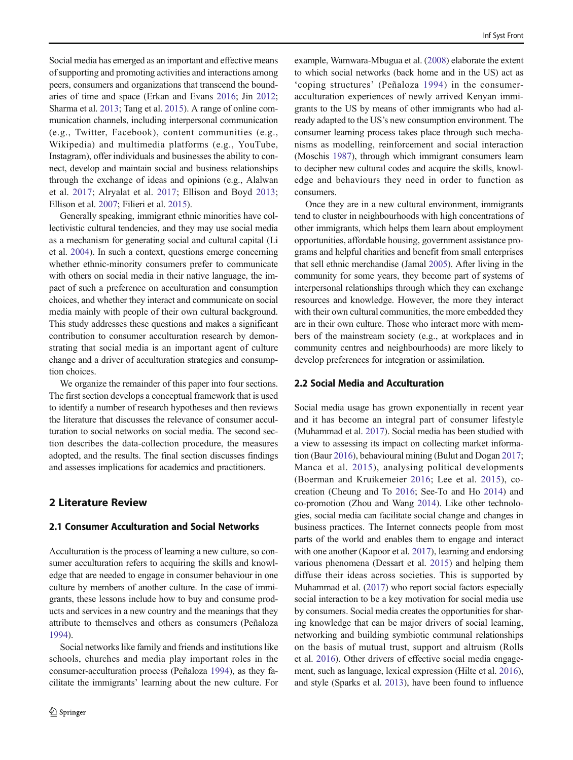Social media has emerged as an important and effective means of supporting and promoting activities and interactions among peers, consumers and organizations that transcend the boundaries of time and space (Erkan and Evans 2016; Jin 2012; Sharma et al. 2013; Tang et al. 2015). A range of online communication channels, including interpersonal communication (e.g., Twitter, Facebook), content communities (e.g., Wikipedia) and multimedia platforms (e.g., YouTube, Instagram), offer individuals and businesses the ability to connect, develop and maintain social and business relationships through the exchange of ideas and opinions (e.g., Alalwan et al. 2017; Alryalat et al. 2017; Ellison and Boyd 2013; Ellison et al. 2007; Filieri et al. 2015).

Generally speaking, immigrant ethnic minorities have collectivistic cultural tendencies, and they may use social media as a mechanism for generating social and cultural capital (Li et al. 2004). In such a context, questions emerge concerning whether ethnic-minority consumers prefer to communicate with others on social media in their native language, the impact of such a preference on acculturation and consumption choices, and whether they interact and communicate on social media mainly with people of their own cultural background. This study addresses these questions and makes a significant contribution to consumer acculturation research by demonstrating that social media is an important agent of culture change and a driver of acculturation strategies and consumption choices.

We organize the remainder of this paper into four sections. The first section develops a conceptual framework that is used to identify a number of research hypotheses and then reviews the literature that discusses the relevance of consumer acculturation to social networks on social media. The second section describes the data-collection procedure, the measures adopted, and the results. The final section discusses findings and assesses implications for academics and practitioners.

## 2 Literature Review

#### 2.1 Consumer Acculturation and Social Networks

Acculturation is the process of learning a new culture, so consumer acculturation refers to acquiring the skills and knowledge that are needed to engage in consumer behaviour in one culture by members of another culture. In the case of immigrants, these lessons include how to buy and consume products and services in a new country and the meanings that they attribute to themselves and others as consumers (Peñaloza 1994).

Social networks like family and friends and institutions like schools, churches and media play important roles in the consumer-acculturation process (Peñaloza 1994), as they facilitate the immigrants' learning about the new culture. For example, Wamwara-Mbugua et al. (2008) elaborate the extent to which social networks (back home and in the US) act as 'coping structures' (Peñaloza 1994) in the consumeracculturation experiences of newly arrived Kenyan immigrants to the US by means of other immigrants who had already adapted to the US's new consumption environment. The consumer learning process takes place through such mechanisms as modelling, reinforcement and social interaction (Moschis 1987), through which immigrant consumers learn to decipher new cultural codes and acquire the skills, knowledge and behaviours they need in order to function as consumers.

Once they are in a new cultural environment, immigrants tend to cluster in neighbourhoods with high concentrations of other immigrants, which helps them learn about employment opportunities, affordable housing, government assistance programs and helpful charities and benefit from small enterprises that sell ethnic merchandise (Jamal 2005). After living in the community for some years, they become part of systems of interpersonal relationships through which they can exchange resources and knowledge. However, the more they interact with their own cultural communities, the more embedded they are in their own culture. Those who interact more with members of the mainstream society (e.g., at workplaces and in community centres and neighbourhoods) are more likely to develop preferences for integration or assimilation.

#### 2.2 Social Media and Acculturation

Social media usage has grown exponentially in recent year and it has become an integral part of consumer lifestyle (Muhammad et al. 2017). Social media has been studied with a view to assessing its impact on collecting market information (Baur 2016), behavioural mining (Bulut and Dogan 2017; Manca et al. 2015), analysing political developments (Boerman and Kruikemeier 2016; Lee et al. 2015), cocreation (Cheung and To 2016; See-To and Ho 2014) and co-promotion (Zhou and Wang 2014). Like other technologies, social media can facilitate social change and changes in business practices. The Internet connects people from most parts of the world and enables them to engage and interact with one another (Kapoor et al. 2017), learning and endorsing various phenomena (Dessart et al. 2015) and helping them diffuse their ideas across societies. This is supported by Muhammad et al. (2017) who report social factors especially social interaction to be a key motivation for social media use by consumers. Social media creates the opportunities for sharing knowledge that can be major drivers of social learning, networking and building symbiotic communal relationships on the basis of mutual trust, support and altruism (Rolls et al. 2016). Other drivers of effective social media engagement, such as language, lexical expression (Hilte et al. 2016), and style (Sparks et al. 2013), have been found to influence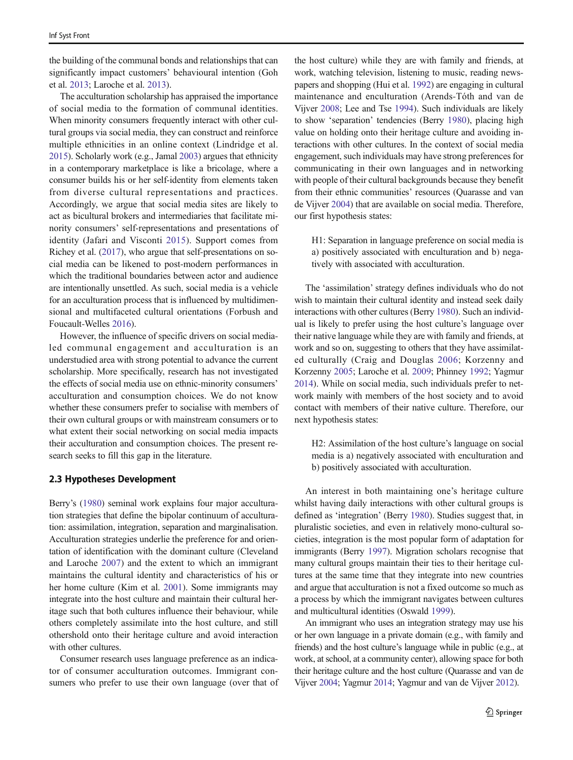the building of the communal bonds and relationships that can significantly impact customers' behavioural intention (Goh et al. 2013; Laroche et al. 2013).

The acculturation scholarship has appraised the importance of social media to the formation of communal identities. When minority consumers frequently interact with other cultural groups via social media, they can construct and reinforce multiple ethnicities in an online context (Lindridge et al. 2015). Scholarly work (e.g., Jamal 2003) argues that ethnicity in a contemporary marketplace is like a bricolage, where a consumer builds his or her self-identity from elements taken from diverse cultural representations and practices. Accordingly, we argue that social media sites are likely to act as bicultural brokers and intermediaries that facilitate minority consumers' self-representations and presentations of identity (Jafari and Visconti 2015). Support comes from Richey et al. (2017), who argue that self-presentations on social media can be likened to post-modern performances in which the traditional boundaries between actor and audience are intentionally unsettled. As such, social media is a vehicle for an acculturation process that is influenced by multidimensional and multifaceted cultural orientations (Forbush and Foucault-Welles 2016).

However, the influence of specific drivers on social medialed communal engagement and acculturation is an understudied area with strong potential to advance the current scholarship. More specifically, research has not investigated the effects of social media use on ethnic-minority consumers' acculturation and consumption choices. We do not know whether these consumers prefer to socialise with members of their own cultural groups or with mainstream consumers or to what extent their social networking on social media impacts their acculturation and consumption choices. The present research seeks to fill this gap in the literature.

#### 2.3 Hypotheses Development

Berry's (1980) seminal work explains four major acculturation strategies that define the bipolar continuum of acculturation: assimilation, integration, separation and marginalisation. Acculturation strategies underlie the preference for and orientation of identification with the dominant culture (Cleveland and Laroche 2007) and the extent to which an immigrant maintains the cultural identity and characteristics of his or her home culture (Kim et al. 2001). Some immigrants may integrate into the host culture and maintain their cultural heritage such that both cultures influence their behaviour, while others completely assimilate into the host culture, and still othershold onto their heritage culture and avoid interaction with other cultures.

Consumer research uses language preference as an indicator of consumer acculturation outcomes. Immigrant consumers who prefer to use their own language (over that of

the host culture) while they are with family and friends, at work, watching television, listening to music, reading newspapers and shopping (Hui et al. 1992) are engaging in cultural maintenance and enculturation (Arends-Tóth and van de Vijver 2008; Lee and Tse 1994). Such individuals are likely to show 'separation' tendencies (Berry 1980), placing high value on holding onto their heritage culture and avoiding interactions with other cultures. In the context of social media engagement, such individuals may have strong preferences for communicating in their own languages and in networking with people of their cultural backgrounds because they benefit from their ethnic communities' resources (Quarasse and van de Vijver 2004) that are available on social media. Therefore, our first hypothesis states:

H1: Separation in language preference on social media is a) positively associated with enculturation and b) negatively with associated with acculturation.

The 'assimilation' strategy defines individuals who do not wish to maintain their cultural identity and instead seek daily interactions with other cultures (Berry 1980). Such an individual is likely to prefer using the host culture's language over their native language while they are with family and friends, at work and so on, suggesting to others that they have assimilated culturally (Craig and Douglas 2006; Korzenny and Korzenny 2005; Laroche et al. 2009; Phinney 1992; Yagmur 2014). While on social media, such individuals prefer to network mainly with members of the host society and to avoid contact with members of their native culture. Therefore, our next hypothesis states:

H2: Assimilation of the host culture's language on social media is a) negatively associated with enculturation and b) positively associated with acculturation.

An interest in both maintaining one's heritage culture whilst having daily interactions with other cultural groups is defined as 'integration' (Berry 1980). Studies suggest that, in pluralistic societies, and even in relatively mono-cultural societies, integration is the most popular form of adaptation for immigrants (Berry 1997). Migration scholars recognise that many cultural groups maintain their ties to their heritage cultures at the same time that they integrate into new countries and argue that acculturation is not a fixed outcome so much as a process by which the immigrant navigates between cultures and multicultural identities (Oswald 1999).

An immigrant who uses an integration strategy may use his or her own language in a private domain (e.g., with family and friends) and the host culture's language while in public (e.g., at work, at school, at a community center), allowing space for both their heritage culture and the host culture (Quarasse and van de Vijver 2004; Yagmur 2014; Yagmur and van de Vijver 2012).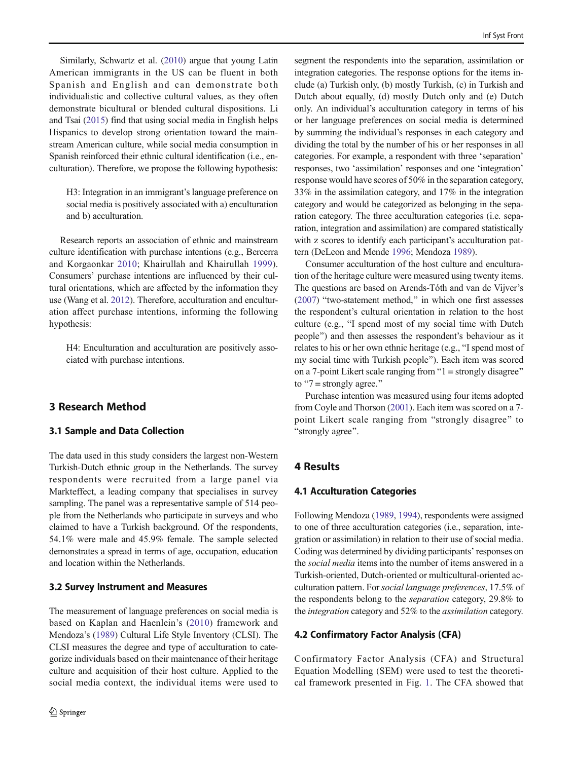Similarly, Schwartz et al. (2010) argue that young Latin American immigrants in the US can be fluent in both Spanish and English and can demonstrate both individualistic and collective cultural values, as they often demonstrate bicultural or blended cultural dispositions. Li and Tsai (2015) find that using social media in English helps Hispanics to develop strong orientation toward the mainstream American culture, while social media consumption in Spanish reinforced their ethnic cultural identification (i.e., enculturation). Therefore, we propose the following hypothesis:

H3: Integration in an immigrant's language preference on social media is positively associated with a) enculturation and b) acculturation.

Research reports an association of ethnic and mainstream culture identification with purchase intentions (e.g., Bercerra and Korgaonkar 2010; Khairullah and Khairullah 1999). Consumers' purchase intentions are influenced by their cultural orientations, which are affected by the information they use (Wang et al. 2012). Therefore, acculturation and enculturation affect purchase intentions, informing the following hypothesis:

H4: Enculturation and acculturation are positively associated with purchase intentions.

## 3 Research Method

## 3.1 Sample and Data Collection

The data used in this study considers the largest non-Western Turkish-Dutch ethnic group in the Netherlands. The survey respondents were recruited from a large panel via Markteffect, a leading company that specialises in survey sampling. The panel was a representative sample of 514 people from the Netherlands who participate in surveys and who claimed to have a Turkish background. Of the respondents, 54.1% were male and 45.9% female. The sample selected demonstrates a spread in terms of age, occupation, education and location within the Netherlands.

#### 3.2 Survey Instrument and Measures

The measurement of language preferences on social media is based on Kaplan and Haenlein's (2010) framework and Mendoza's (1989) Cultural Life Style Inventory (CLSI). The CLSI measures the degree and type of acculturation to categorize individuals based on their maintenance of their heritage culture and acquisition of their host culture. Applied to the social media context, the individual items were used to segment the respondents into the separation, assimilation or integration categories. The response options for the items include (a) Turkish only, (b) mostly Turkish, (c) in Turkish and Dutch about equally, (d) mostly Dutch only and (e) Dutch only. An individual's acculturation category in terms of his or her language preferences on social media is determined by summing the individual's responses in each category and dividing the total by the number of his or her responses in all categories. For example, a respondent with three 'separation' responses, two 'assimilation' responses and one 'integration' response would have scores of 50% in the separation category, 33% in the assimilation category, and 17% in the integration category and would be categorized as belonging in the separation category. The three acculturation categories (i.e. separation, integration and assimilation) are compared statistically with z scores to identify each participant's acculturation pattern (DeLeon and Mende 1996; Mendoza 1989).

Consumer acculturation of the host culture and enculturation of the heritage culture were measured using twenty items. The questions are based on Arends-Tóth and van de Vijver's  $(2007)$  "two-statement method," in which one first assesses the respondent's cultural orientation in relation to the host culture (e.g., "I spend most of my social time with Dutch people^) and then assesses the respondent's behaviour as it relates to his or her own ethnic heritage (e.g., "I spend most of my social time with Turkish people^). Each item was scored on a 7-point Likert scale ranging from  $1 =$  strongly disagree" to " $7$  = strongly agree."

Purchase intention was measured using four items adopted from Coyle and Thorson (2001). Each item was scored on a 7 point Likert scale ranging from "strongly disagree" to "strongly agree".

## 4 Results

#### 4.1 Acculturation Categories

Following Mendoza (1989, 1994), respondents were assigned to one of three acculturation categories (i.e., separation, integration or assimilation) in relation to their use of social media. Coding was determined by dividing participants' responses on the social media items into the number of items answered in a Turkish-oriented, Dutch-oriented or multicultural-oriented acculturation pattern. For social language preferences, 17.5% of the respondents belong to the separation category, 29.8% to the integration category and 52% to the assimilation category.

#### 4.2 Confirmatory Factor Analysis (CFA)

Confirmatory Factor Analysis (CFA) and Structural Equation Modelling (SEM) were used to test the theoretical framework presented in Fig. 1. The CFA showed that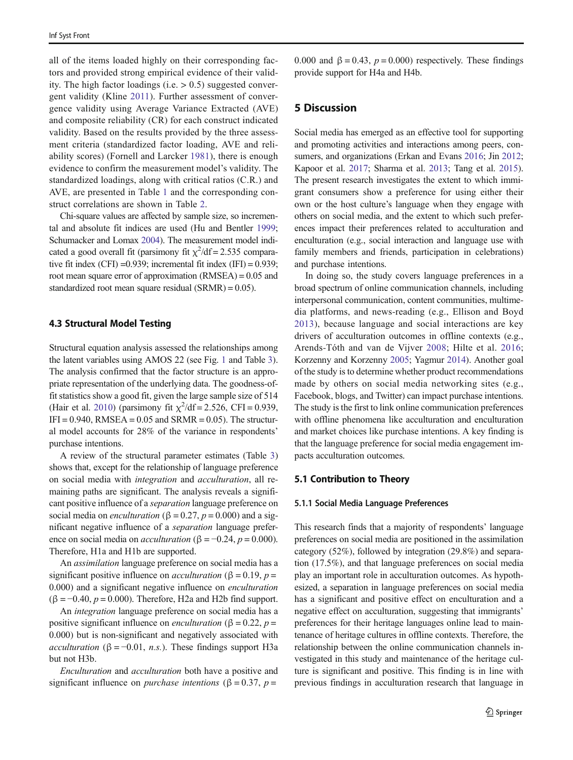all of the items loaded highly on their corresponding factors and provided strong empirical evidence of their validity. The high factor loadings (i.e.  $> 0.5$ ) suggested convergent validity (Kline 2011). Further assessment of convergence validity using Average Variance Extracted (AVE) and composite reliability (CR) for each construct indicated validity. Based on the results provided by the three assessment criteria (standardized factor loading, AVE and reliability scores) (Fornell and Larcker 1981), there is enough evidence to confirm the measurement model's validity. The standardized loadings, along with critical ratios (C.R.) and AVE, are presented in Table 1 and the corresponding construct correlations are shown in Table 2.

Chi-square values are affected by sample size, so incremental and absolute fit indices are used (Hu and Bentler 1999; Schumacker and Lomax 2004). The measurement model indicated a good overall fit (parsimony fit  $\chi^2$ /df = 2.535 comparative fit index (CFI) =  $0.939$ ; incremental fit index (IFI) =  $0.939$ ; root mean square error of approximation (RMSEA) = 0.05 and standardized root mean square residual (SRMR) = 0.05).

#### 4.3 Structural Model Testing

Structural equation analysis assessed the relationships among the latent variables using AMOS 22 (see Fig. 1 and Table 3). The analysis confirmed that the factor structure is an appropriate representation of the underlying data. The goodness-offit statistics show a good fit, given the large sample size of 514 (Hair et al. 2010) (parsimony fit  $\chi^2$ /df = 2.526, CFI = 0.939,  $IFI = 0.940$ , RMSEA =  $0.05$  and SRMR =  $0.05$ ). The structural model accounts for 28% of the variance in respondents' purchase intentions.

A review of the structural parameter estimates (Table 3) shows that, except for the relationship of language preference on social media with integration and acculturation, all remaining paths are significant. The analysis reveals a significant positive influence of a separation language preference on social media on *enculturation* ( $\beta = 0.27$ ,  $p = 0.000$ ) and a significant negative influence of a separation language preference on social media on *acculturation* ( $\beta = -0.24$ ,  $p = 0.000$ ). Therefore, H1a and H1b are supported.

An assimilation language preference on social media has a significant positive influence on *acculturation* ( $\beta = 0.19$ ,  $p =$ 0.000) and a significant negative influence on enculturation  $(\beta = -0.40, p = 0.000)$ . Therefore, H2a and H2b find support.

An integration language preference on social media has a positive significant influence on *enculturation* ( $\beta = 0.22$ ,  $p =$ 0.000) but is non-significant and negatively associated with acculturation ( $\beta = -0.01$ , n.s.). These findings support H3a but not H3b.

Enculturation and acculturation both have a positive and significant influence on *purchase intentions* ( $\beta = 0.37$ ,  $p =$ 

0.000 and  $\beta = 0.43$ ,  $p = 0.000$  respectively. These findings provide support for H4a and H4b.

## 5 Discussion

Social media has emerged as an effective tool for supporting and promoting activities and interactions among peers, consumers, and organizations (Erkan and Evans 2016; Jin 2012; Kapoor et al. 2017; Sharma et al. 2013; Tang et al. 2015). The present research investigates the extent to which immigrant consumers show a preference for using either their own or the host culture's language when they engage with others on social media, and the extent to which such preferences impact their preferences related to acculturation and enculturation (e.g., social interaction and language use with family members and friends, participation in celebrations) and purchase intentions.

In doing so, the study covers language preferences in a broad spectrum of online communication channels, including interpersonal communication, content communities, multimedia platforms, and news-reading (e.g., Ellison and Boyd 2013), because language and social interactions are key drivers of acculturation outcomes in offline contexts (e.g., Arends-Tóth and van de Vijver 2008; Hilte et al. 2016; Korzenny and Korzenny 2005; Yagmur 2014). Another goal of the study is to determine whether product recommendations made by others on social media networking sites (e.g., Facebook, blogs, and Twitter) can impact purchase intentions. The study is the first to link online communication preferences with offline phenomena like acculturation and enculturation and market choices like purchase intentions. A key finding is that the language preference for social media engagement impacts acculturation outcomes.

#### 5.1 Contribution to Theory

#### 5.1.1 Social Media Language Preferences

This research finds that a majority of respondents' language preferences on social media are positioned in the assimilation category (52%), followed by integration (29.8%) and separation (17.5%), and that language preferences on social media play an important role in acculturation outcomes. As hypothesized, a separation in language preferences on social media has a significant and positive effect on enculturation and a negative effect on acculturation, suggesting that immigrants' preferences for their heritage languages online lead to maintenance of heritage cultures in offline contexts. Therefore, the relationship between the online communication channels investigated in this study and maintenance of the heritage culture is significant and positive. This finding is in line with previous findings in acculturation research that language in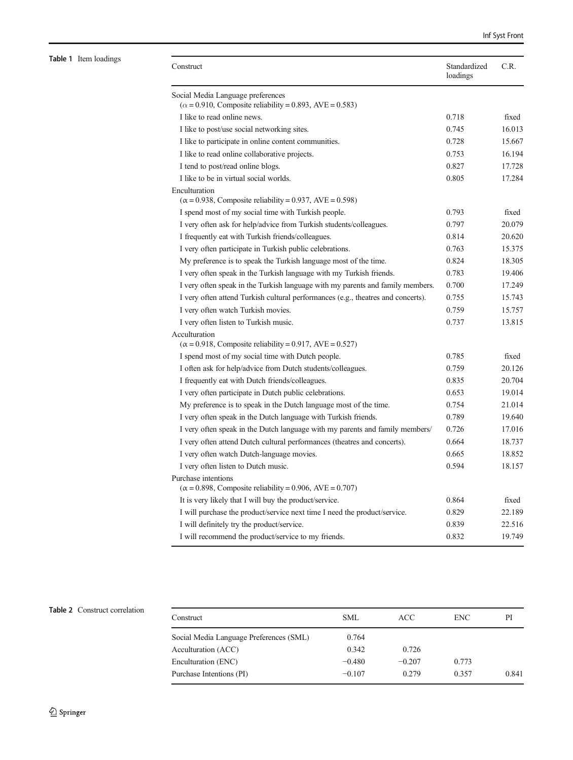## Table 1 Item loadings

| Construct                                                                             | Standardized<br>loadings | C.R.   |
|---------------------------------------------------------------------------------------|--------------------------|--------|
| Social Media Language preferences                                                     |                          |        |
| $(\alpha = 0.910,$ Composite reliability = 0.893, AVE = 0.583)                        |                          |        |
| I like to read online news.                                                           | 0.718                    | fixed  |
| I like to post/use social networking sites.                                           | 0.745                    | 16.013 |
| I like to participate in online content communities.                                  | 0.728                    | 15.667 |
| I like to read online collaborative projects.                                         | 0.753                    | 16.194 |
| I tend to post/read online blogs.                                                     | 0.827                    | 17.728 |
| I like to be in virtual social worlds.                                                | 0.805                    | 17.284 |
| Enculturation<br>$(\alpha = 0.938,$ Composite reliability = 0.937, AVE = 0.598)       |                          |        |
| I spend most of my social time with Turkish people.                                   | 0.793                    | fixed  |
| I very often ask for help/advice from Turkish students/colleagues.                    | 0.797                    | 20.079 |
| I frequently eat with Turkish friends/colleagues.                                     | 0.814                    | 20.620 |
| I very often participate in Turkish public celebrations.                              | 0.763                    | 15.375 |
| My preference is to speak the Turkish language most of the time.                      | 0.824                    | 18.305 |
| I very often speak in the Turkish language with my Turkish friends.                   | 0.783                    | 19.406 |
| I very often speak in the Turkish language with my parents and family members.        | 0.700                    | 17.249 |
| I very often attend Turkish cultural performances (e.g., theatres and concerts).      | 0.755                    | 15.743 |
| I very often watch Turkish movies.                                                    | 0.759                    | 15.757 |
| I very often listen to Turkish music.                                                 | 0.737                    | 13.815 |
| Acculturation                                                                         |                          |        |
| $(\alpha = 0.918$ , Composite reliability = 0.917, AVE = 0.527)                       |                          |        |
| I spend most of my social time with Dutch people.                                     | 0.785                    | fixed  |
| I often ask for help/advice from Dutch students/colleagues.                           | 0.759                    | 20.126 |
| I frequently eat with Dutch friends/colleagues.                                       | 0.835                    | 20.704 |
| I very often participate in Dutch public celebrations.                                | 0.653                    | 19.014 |
| My preference is to speak in the Dutch language most of the time.                     | 0.754                    | 21.014 |
| I very often speak in the Dutch language with Turkish friends.                        | 0.789                    | 19.640 |
| I very often speak in the Dutch language with my parents and family members/          | 0.726                    | 17.016 |
| I very often attend Dutch cultural performances (theatres and concerts).              | 0.664                    | 18.737 |
| I very often watch Dutch-language movies.                                             | 0.665                    | 18.852 |
| I very often listen to Dutch music.                                                   | 0.594                    | 18.157 |
| Purchase intentions<br>$(\alpha = 0.898,$ Composite reliability = 0.906, AVE = 0.707) |                          |        |
| It is very likely that I will buy the product/service.                                | 0.864                    | fixed  |
| I will purchase the product/service next time I need the product/service.             | 0.829                    | 22.189 |
| I will definitely try the product/service.                                            | 0.839                    | 22.516 |
| I will recommend the product/service to my friends.                                   | 0.832                    | 19.749 |

#### Table 2 Construct correlation

| Construct                               | SML      | ACC      | ENC   | ΡI    |
|-----------------------------------------|----------|----------|-------|-------|
| Social Media Language Preferences (SML) | 0.764    |          |       |       |
| Acculturation (ACC)                     | 0.342    | 0.726    |       |       |
| Enculturation (ENC)                     | $-0.480$ | $-0.207$ | 0.773 |       |
| Purchase Intentions (PI)                | $-0.107$ | 0.279    | 0.357 | 0.841 |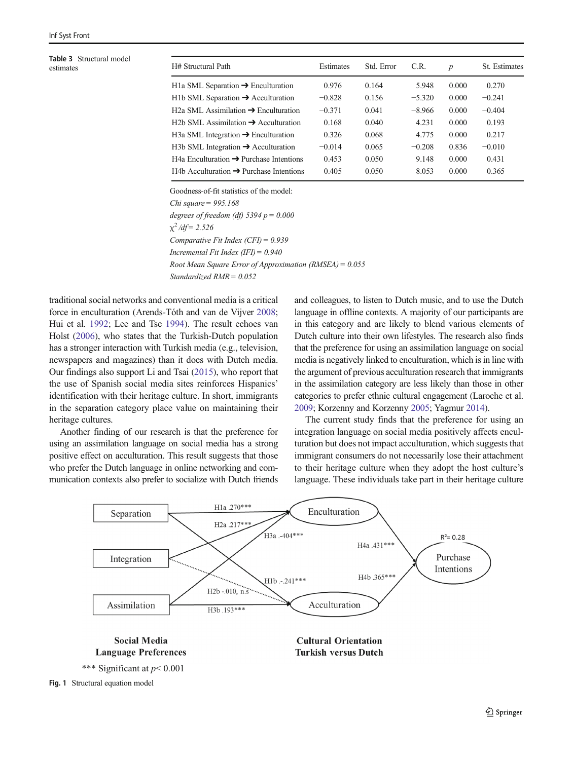Table 3 Structural model<br>estimates

| Table 3 Structural model<br>estimates | H# Structural Path                                            | Estimates | Std. Error | C.R.     | $\boldsymbol{p}$ | St. Estimates |
|---------------------------------------|---------------------------------------------------------------|-----------|------------|----------|------------------|---------------|
|                                       | H <sub>1</sub> a SML Separation $\rightarrow$ Enculturation   | 0.976     | 0.164      | 5.948    | 0.000            | 0.270         |
|                                       | $H1b$ SML Separation $\rightarrow$ Acculturation              | $-0.828$  | 0.156      | $-5.320$ | 0.000            | $-0.241$      |
|                                       | H <sub>2a</sub> SML Assimilation $\rightarrow$ Enculturation  | $-0.371$  | 0.041      | $-8.966$ | 0.000            | $-0.404$      |
|                                       | H <sub>2</sub> b SML Assimilation $\rightarrow$ Acculturation | 0.168     | 0.040      | 4.231    | 0.000            | 0.193         |
|                                       | H <sub>3</sub> a SML Integration $\rightarrow$ Enculturation  | 0.326     | 0.068      | 4.775    | 0.000            | 0.217         |
|                                       | $H3b$ SML Integration $\rightarrow$ Acculturation             | $-0.014$  | 0.065      | $-0.208$ | 0.836            | $-0.010$      |
|                                       | $H4a$ Enculturation $\rightarrow$ Purchase Intentions         | 0.453     | 0.050      | 9.148    | 0.000            | 0.431         |
|                                       | $H4b$ Acculturation $\rightarrow$ Purchase Intentions         | 0.405     | 0.050      | 8.053    | 0.000            | 0.365         |
|                                       |                                                               |           |            |          |                  |               |

Goodness-of-fit statistics of the model:

Chi square =  $995.168$ 

degrees of freedom (df) 5394  $p = 0.000$  $\chi^2/df = 2.526$ Comparative Fit Index (CFI) =  $0.939$ Incremental Fit Index (IFI) =  $0.940$ Root Mean Square Error of Approximation (RMSEA) = 0.055 Standardized  $RMR = 0.052$ 

traditional social networks and conventional media is a critical force in enculturation (Arends-Tóth and van de Vijver 2008; Hui et al. 1992; Lee and Tse 1994). The result echoes van Holst (2006), who states that the Turkish-Dutch population has a stronger interaction with Turkish media (e.g., television, newspapers and magazines) than it does with Dutch media. Our findings also support Li and Tsai (2015), who report that the use of Spanish social media sites reinforces Hispanics' identification with their heritage culture. In short, immigrants in the separation category place value on maintaining their heritage cultures.

Another finding of our research is that the preference for using an assimilation language on social media has a strong positive effect on acculturation. This result suggests that those who prefer the Dutch language in online networking and communication contexts also prefer to socialize with Dutch friends and colleagues, to listen to Dutch music, and to use the Dutch language in offline contexts. A majority of our participants are in this category and are likely to blend various elements of Dutch culture into their own lifestyles. The research also finds that the preference for using an assimilation language on social media is negatively linked to enculturation, which is in line with the argument of previous acculturation research that immigrants in the assimilation category are less likely than those in other categories to prefer ethnic cultural engagement (Laroche et al. 2009; Korzenny and Korzenny 2005; Yagmur 2014).

The current study finds that the preference for using an integration language on social media positively affects enculturation but does not impact acculturation, which suggests that immigrant consumers do not necessarily lose their attachment to their heritage culture when they adopt the host culture's language. These individuals take part in their heritage culture

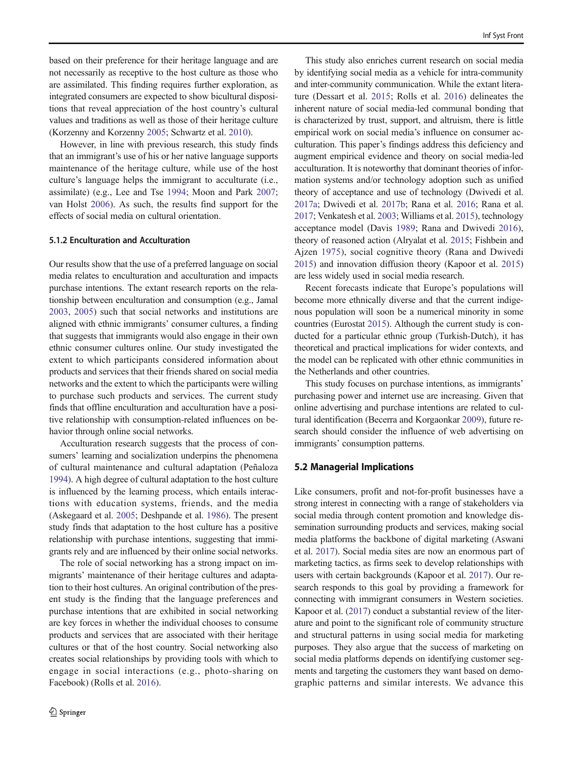based on their preference for their heritage language and are not necessarily as receptive to the host culture as those who are assimilated. This finding requires further exploration, as integrated consumers are expected to show bicultural dispositions that reveal appreciation of the host country's cultural values and traditions as well as those of their heritage culture (Korzenny and Korzenny 2005; Schwartz et al. 2010).

However, in line with previous research, this study finds that an immigrant's use of his or her native language supports maintenance of the heritage culture, while use of the host culture's language helps the immigrant to acculturate (i.e., assimilate) (e.g., Lee and Tse 1994; Moon and Park 2007; van Holst 2006). As such, the results find support for the effects of social media on cultural orientation.

#### 5.1.2 Enculturation and Acculturation

Our results show that the use of a preferred language on social media relates to enculturation and acculturation and impacts purchase intentions. The extant research reports on the relationship between enculturation and consumption (e.g., Jamal 2003, 2005) such that social networks and institutions are aligned with ethnic immigrants' consumer cultures, a finding that suggests that immigrants would also engage in their own ethnic consumer cultures online. Our study investigated the extent to which participants considered information about products and services that their friends shared on social media networks and the extent to which the participants were willing to purchase such products and services. The current study finds that offline enculturation and acculturation have a positive relationship with consumption-related influences on behavior through online social networks.

Acculturation research suggests that the process of consumers' learning and socialization underpins the phenomena of cultural maintenance and cultural adaptation (Peñaloza 1994). A high degree of cultural adaptation to the host culture is influenced by the learning process, which entails interactions with education systems, friends, and the media (Askegaard et al. 2005; Deshpande et al. 1986). The present study finds that adaptation to the host culture has a positive relationship with purchase intentions, suggesting that immigrants rely and are influenced by their online social networks.

The role of social networking has a strong impact on immigrants' maintenance of their heritage cultures and adaptation to their host cultures. An original contribution of the present study is the finding that the language preferences and purchase intentions that are exhibited in social networking are key forces in whether the individual chooses to consume products and services that are associated with their heritage cultures or that of the host country. Social networking also creates social relationships by providing tools with which to engage in social interactions (e.g., photo-sharing on Facebook) (Rolls et al. 2016).

This study also enriches current research on social media by identifying social media as a vehicle for intra-community and inter-community communication. While the extant literature (Dessart et al. 2015; Rolls et al. 2016) delineates the inherent nature of social media-led communal bonding that is characterized by trust, support, and altruism, there is little empirical work on social media's influence on consumer acculturation. This paper's findings address this deficiency and augment empirical evidence and theory on social media-led acculturation. It is noteworthy that dominant theories of information systems and/or technology adoption such as unified theory of acceptance and use of technology (Dwivedi et al. 2017a; Dwivedi et al. 2017b; Rana et al. 2016; Rana et al. 2017; Venkatesh et al. 2003; Williams et al. 2015), technology acceptance model (Davis 1989; Rana and Dwivedi 2016), theory of reasoned action (Alryalat et al. 2015; Fishbein and Ajzen 1975), social cognitive theory (Rana and Dwivedi 2015) and innovation diffusion theory (Kapoor et al. 2015) are less widely used in social media research.

Recent forecasts indicate that Europe's populations will become more ethnically diverse and that the current indigenous population will soon be a numerical minority in some countries (Eurostat 2015). Although the current study is conducted for a particular ethnic group (Turkish-Dutch), it has theoretical and practical implications for wider contexts, and the model can be replicated with other ethnic communities in the Netherlands and other countries.

This study focuses on purchase intentions, as immigrants' purchasing power and internet use are increasing. Given that online advertising and purchase intentions are related to cultural identification (Becerra and Korgaonkar 2009), future research should consider the influence of web advertising on immigrants' consumption patterns.

#### 5.2 Managerial Implications

Like consumers, profit and not-for-profit businesses have a strong interest in connecting with a range of stakeholders via social media through content promotion and knowledge dissemination surrounding products and services, making social media platforms the backbone of digital marketing (Aswani et al. 2017). Social media sites are now an enormous part of marketing tactics, as firms seek to develop relationships with users with certain backgrounds (Kapoor et al. 2017). Our research responds to this goal by providing a framework for connecting with immigrant consumers in Western societies. Kapoor et al. (2017) conduct a substantial review of the literature and point to the significant role of community structure and structural patterns in using social media for marketing purposes. They also argue that the success of marketing on social media platforms depends on identifying customer segments and targeting the customers they want based on demographic patterns and similar interests. We advance this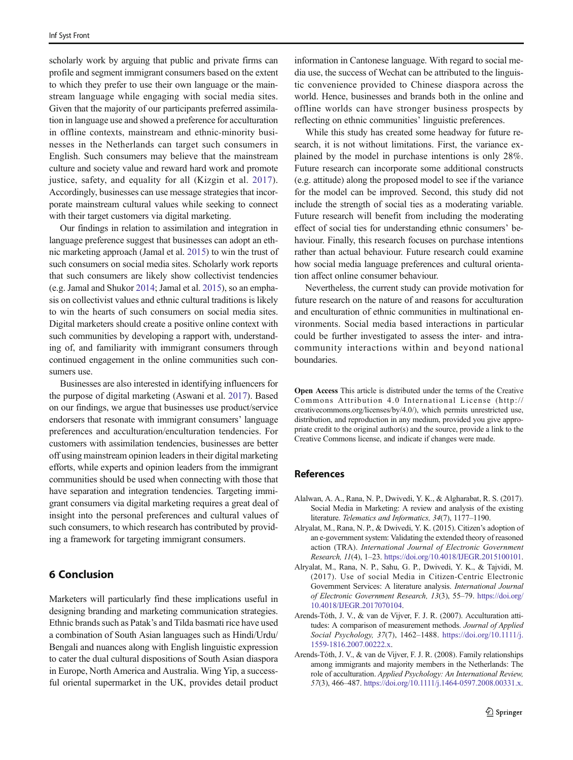scholarly work by arguing that public and private firms can profile and segment immigrant consumers based on the extent to which they prefer to use their own language or the mainstream language while engaging with social media sites. Given that the majority of our participants preferred assimilation in language use and showed a preference for acculturation in offline contexts, mainstream and ethnic-minority businesses in the Netherlands can target such consumers in English. Such consumers may believe that the mainstream culture and society value and reward hard work and promote justice, safety, and equality for all (Kizgin et al. 2017). Accordingly, businesses can use message strategies that incorporate mainstream cultural values while seeking to connect with their target customers via digital marketing.

Our findings in relation to assimilation and integration in language preference suggest that businesses can adopt an ethnic marketing approach (Jamal et al. 2015) to win the trust of such consumers on social media sites. Scholarly work reports that such consumers are likely show collectivist tendencies (e.g. Jamal and Shukor 2014; Jamal et al. 2015), so an emphasis on collectivist values and ethnic cultural traditions is likely to win the hearts of such consumers on social media sites. Digital marketers should create a positive online context with such communities by developing a rapport with, understanding of, and familiarity with immigrant consumers through continued engagement in the online communities such consumers use.

Businesses are also interested in identifying influencers for the purpose of digital marketing (Aswani et al. 2017). Based on our findings, we argue that businesses use product/service endorsers that resonate with immigrant consumers' language preferences and acculturation/enculturation tendencies. For customers with assimilation tendencies, businesses are better off using mainstream opinion leaders in their digital marketing efforts, while experts and opinion leaders from the immigrant communities should be used when connecting with those that have separation and integration tendencies. Targeting immigrant consumers via digital marketing requires a great deal of insight into the personal preferences and cultural values of such consumers, to which research has contributed by providing a framework for targeting immigrant consumers.

## 6 Conclusion

Marketers will particularly find these implications useful in designing branding and marketing communication strategies. Ethnic brands such as Patak's and Tilda basmati rice have used a combination of South Asian languages such as Hindi/Urdu/ Bengali and nuances along with English linguistic expression to cater the dual cultural dispositions of South Asian diaspora in Europe, North America and Australia. Wing Yip, a successful oriental supermarket in the UK, provides detail product

information in Cantonese language. With regard to social media use, the success of Wechat can be attributed to the linguistic convenience provided to Chinese diaspora across the world. Hence, businesses and brands both in the online and offline worlds can have stronger business prospects by reflecting on ethnic communities' linguistic preferences.

While this study has created some headway for future research, it is not without limitations. First, the variance explained by the model in purchase intentions is only 28%. Future research can incorporate some additional constructs (e.g. attitude) along the proposed model to see if the variance for the model can be improved. Second, this study did not include the strength of social ties as a moderating variable. Future research will benefit from including the moderating effect of social ties for understanding ethnic consumers' behaviour. Finally, this research focuses on purchase intentions rather than actual behaviour. Future research could examine how social media language preferences and cultural orientation affect online consumer behaviour.

Nevertheless, the current study can provide motivation for future research on the nature of and reasons for acculturation and enculturation of ethnic communities in multinational environments. Social media based interactions in particular could be further investigated to assess the inter- and intracommunity interactions within and beyond national boundaries.

Open Access This article is distributed under the terms of the Creative Commons Attribution 4.0 International License (http:// creativecommons.org/licenses/by/4.0/), which permits unrestricted use, distribution, and reproduction in any medium, provided you give appropriate credit to the original author(s) and the source, provide a link to the Creative Commons license, and indicate if changes were made.

#### References

- Alalwan, A. A., Rana, N. P., Dwivedi, Y. K., & Algharabat, R. S. (2017). Social Media in Marketing: A review and analysis of the existing literature. Telematics and Informatics, 34(7), 1177–1190.
- Alryalat, M., Rana, N. P., & Dwivedi, Y. K. (2015). Citizen's adoption of an e-government system: Validating the extended theory of reasoned action (TRA). International Journal of Electronic Government Research, 11(4), 1–23. https://doi.org/10.4018/IJEGR.2015100101.
- Alryalat, M., Rana, N. P., Sahu, G. P., Dwivedi, Y. K., & Tajvidi, M. (2017). Use of social Media in Citizen-Centric Electronic Government Services: A literature analysis. International Journal of Electronic Government Research, 13(3), 55–79. https://doi.org/ 10.4018/IJEGR.2017070104.
- Arends-Tóth, J. V., & van de Vijver, F. J. R. (2007). Acculturation attitudes: A comparison of measurement methods. Journal of Applied Social Psychology, 37(7), 1462–1488. https://doi.org/10.1111/j. 1559-1816.2007.00222.x.
- Arends-Tóth, J. V., & van de Vijver, F. J. R. (2008). Family relationships among immigrants and majority members in the Netherlands: The role of acculturation. Applied Psychology: An International Review, 57(3), 466–487. https://doi.org/10.1111/j.1464-0597.2008.00331.x.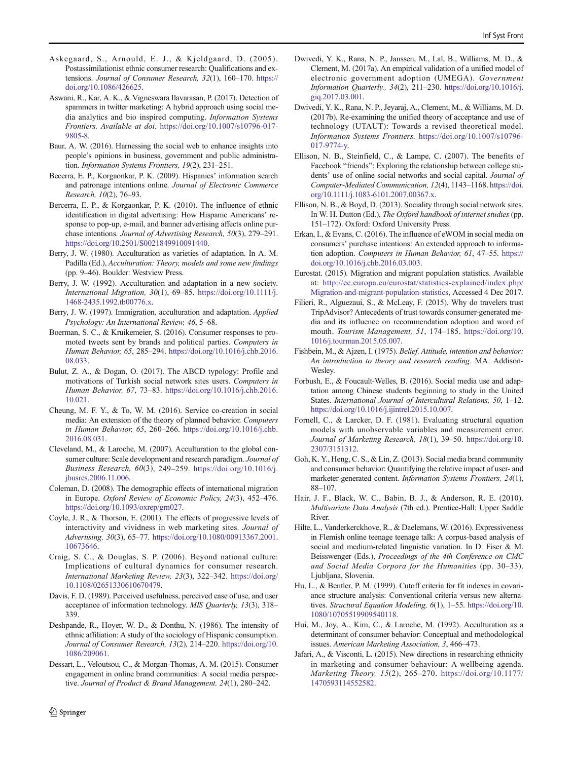- Askegaard, S., Arnould, E. J., & Kjeldgaard, D. (2005). Postassimilationist ethnic consumer research: Qualifications and extensions. Journal of Consumer Research, 32(1), 160–170. https:// doi.org/10.1086/426625.
- Aswani, R., Kar, A. K., & Vigneswara Ilavarasan, P. (2017). Detection of spammers in twitter marketing: A hybrid approach using social media analytics and bio inspired computing. Information Systems Frontiers. Available at doi. https://doi.org/10.1007/s10796-017- 9805-8.
- Baur, A. W. (2016). Harnessing the social web to enhance insights into people's opinions in business, government and public administration. Information Systems Frontiers, 19(2), 231–251.
- Becerra, E. P., Korgaonkar, P. K. (2009). Hispanics' information search and patronage intentions online. Journal of Electronic Commerce Research, 10(2), 76–93.
- Bercerra, E. P., & Korgaonkar, P. K. (2010). The influence of ethnic identification in digital advertising: How Hispanic Americans' response to pop-up, e-mail, and banner advertising affects online purchase intentions. Journal of Advertising Research, 50(3), 279–291. https://doi.org/10.2501/S0021849910091440.
- Berry, J. W. (1980). Acculturation as varieties of adaptation. In A. M. Padilla (Ed.), Acculturation: Theory, models and some new findings (pp. 9–46). Boulder: Westview Press.
- Berry, J. W. (1992). Acculturation and adaptation in a new society. International Migration, 30(1), 69–85. https://doi.org/10.1111/j. 1468-2435.1992.tb00776.x.
- Berry, J. W. (1997). Immigration, acculturation and adaptation. Applied Psychology: An International Review, 46, 5–68.
- Boerman, S. C., & Kruikemeier, S. (2016). Consumer responses to promoted tweets sent by brands and political parties. Computers in Human Behavior, 65, 285–294. https://doi.org/10.1016/j.chb.2016. 08.033.
- Bulut, Z. A., & Dogan, O. (2017). The ABCD typology: Profile and motivations of Turkish social network sites users. Computers in Human Behavior, 67, 73–83. https://doi.org/10.1016/j.chb.2016. 10.021.
- Cheung, M. F. Y., & To, W. M. (2016). Service co-creation in social media: An extension of the theory of planned behavior. Computers in Human Behavior, 65, 260–266. https://doi.org/10.1016/j.chb. 2016.08.031.
- Cleveland, M., & Laroche, M. (2007). Acculturation to the global consumer culture: Scale development and research paradigm. Journal of Business Research, 60(3), 249–259. https://doi.org/10.1016/j. jbusres.2006.11.006.
- Coleman, D. (2008). The demographic effects of international migration in Europe. Oxford Review of Economic Policy, 24(3), 452–476. https://doi.org/10.1093/oxrep/grn027.
- Coyle, J. R., & Thorson, E. (2001). The effects of progressive levels of interactivity and vividness in web marketing sites. Journal of Advertising, 30(3), 65–77. https://doi.org/10.1080/00913367.2001. 10673646.
- Craig, S. C., & Douglas, S. P. (2006). Beyond national culture: Implications of cultural dynamics for consumer research. International Marketing Review, 23(3), 322–342. https://doi.org/ 10.1108/02651330610670479.
- Davis, F. D. (1989). Perceived usefulness, perceived ease of use, and user acceptance of information technology. MIS Quarterly, 13(3), 318– 339.
- Deshpande, R., Hoyer, W. D., & Donthu, N. (1986). The intensity of ethnic affiliation: A study of the sociology of Hispanic consumption. Journal of Consumer Research, 13(2), 214–220. https://doi.org/10. 1086/209061.
- Dessart, L., Veloutsou, C., & Morgan-Thomas, A. M. (2015). Consumer engagement in online brand communities: A social media perspective. Journal of Product & Brand Management, 24(1), 280–242.
- $\hat{Z}$  Springer
- Dwivedi, Y. K., Rana, N. P., Janssen, M., Lal, B., Williams, M. D., & Clement, M. (2017a). An empirical validation of a unified model of electronic government adoption (UMEGA). Government Information Quarterly., 34(2), 211–230. https://doi.org/10.1016/j. giq.2017.03.001.
- Dwivedi, Y. K., Rana, N. P., Jeyaraj, A., Clement, M., & Williams, M. D. (2017b). Re-examining the unified theory of acceptance and use of technology (UTAUT): Towards a revised theoretical model. Information Systems Frontiers. https://doi.org/10.1007/s10796- 017-9774-y.
- Ellison, N. B., Steinfield, C., & Lampe, C. (2007). The benefits of Facebook "friends": Exploring the relationship between college students' use of online social networks and social capital. Journal of Computer-Mediated Communication, 12(4), 1143–1168. https://doi. org/10.1111/j.1083-6101.2007.00367.x.
- Ellison, N. B., & Boyd, D. (2013). Sociality through social network sites. In W. H. Dutton (Ed.), The Oxford handbook of internet studies (pp. 151–172). Oxford: Oxford University Press.
- Erkan, I., & Evans, C. (2016). The influence of eWOM in social media on consumers' purchase intentions: An extended approach to information adoption. Computers in Human Behavior, 61, 47–55. https:// doi.org/10.1016/j.chb.2016.03.003.
- Eurostat. (2015). Migration and migrant population statistics. Available at: http://ec.europa.eu/eurostat/statistics-explained/index.php/ Migration-and-migrant-population-statistics, Accessed 4 Dec 2017.
- Filieri, R., Alguezaui, S., & McLeay, F. (2015). Why do travelers trust TripAdvisor? Antecedents of trust towards consumer-generated media and its influence on recommendation adoption and word of mouth. Tourism Management, 51, 174–185. https://doi.org/10. 1016/j.tourman.2015.05.007.
- Fishbein, M., & Ajzen, I. (1975). Belief. Attitude, intention and behavior: An introduction to theory and research reading. MA: Addison-Wesley.
- Forbush, E., & Foucault-Welles, B. (2016). Social media use and adaptation among Chinese students beginning to study in the United States. International Journal of Intercultural Relations, 50, 1–12. https://doi.org/10.1016/j.ijintrel.2015.10.007.
- Fornell, C., & Larcker, D. F. (1981). Evaluating structural equation models with unobservable variables and measurement error. Journal of Marketing Research, 18(1), 39–50. https://doi.org/10. 2307/3151312.
- Goh, K. Y., Heng, C. S., & Lin, Z. (2013). Social media brand community and consumer behavior: Quantifying the relative impact of user- and marketer-generated content. Information Systems Frontiers, 24(1), 88–107.
- Hair, J. F., Black, W. C., Babin, B. J., & Anderson, R. E. (2010). Multivariate Data Analysis (7th ed.). Prentice-Hall: Upper Saddle River.
- Hilte, L., Vanderkerckhove, R., & Daelemans, W. (2016). Expressiveness in Flemish online teenage teenage talk: A corpus-based analysis of social and medium-related linguistic variation. In D. Fiser & M. Beisswenger (Eds.), Proceedings of the 4th Conference on CMC and Social Media Corpora for the Humanities (pp. 30–33). Ljubljana, Slovenia.
- Hu, L., & Bentler, P. M. (1999). Cutoff criteria for fit indexes in covariance structure analysis: Conventional criteria versus new alternatives. Structural Equation Modeling, 6(1), 1-55. https://doi.org/10. 1080/10705519909540118.
- Hui, M., Joy, A., Kim, C., & Laroche, M. (1992). Acculturation as a determinant of consumer behavior: Conceptual and methodological issues. American Marketing Association, 3, 466–473.
- Jafari, A., & Visconti, L. (2015). New directions in researching ethnicity in marketing and consumer behaviour: A wellbeing agenda. Marketing Theory, 15(2), 265–270. https://doi.org/10.1177/ 1470593114552582.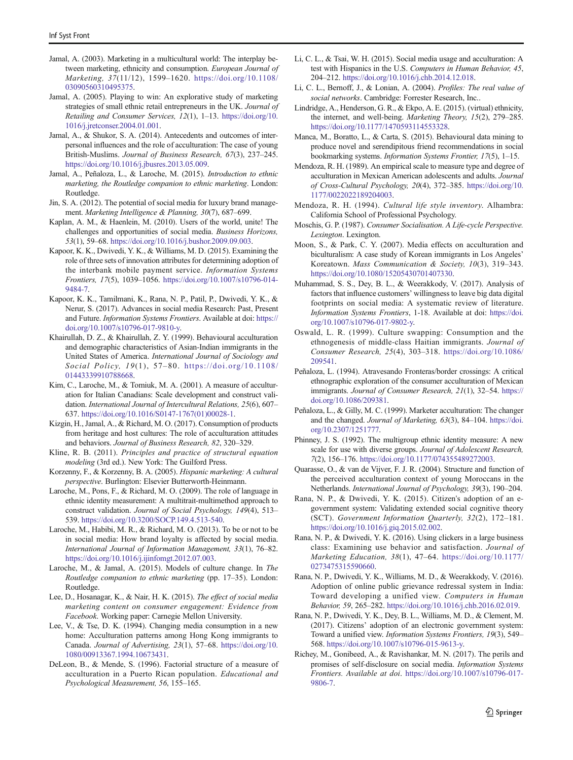- Jamal, A. (2003). Marketing in a multicultural world: The interplay between marketing, ethnicity and consumption. European Journal of Marketing, 37(11/12), 1599–1620. https://doi.org/10.1108/ 03090560310495375.
- Jamal, A. (2005). Playing to win: An explorative study of marketing strategies of small ethnic retail entrepreneurs in the UK. Journal of Retailing and Consumer Services, 12(1), 1–13. https://doi.org/10. 1016/j.jretconser.2004.01.001.
- Jamal, A., & Shukor, S. A. (2014). Antecedents and outcomes of interpersonal influences and the role of acculturation: The case of young British-Muslims. Journal of Business Research, 67(3), 237–245. https://doi.org/10.1016/j.jbusres.2013.05.009.
- Jamal, A., Peñaloza, L., & Laroche, M. (2015). Introduction to ethnic marketing, the Routledge companion to ethnic marketing. London: Routledge.
- Jin, S. A. (2012). The potential of social media for luxury brand management. Marketing Intelligence & Planning, 30(7), 687–699.
- Kaplan, A. M., & Haenlein, M. (2010). Users of the world, unite! The challenges and opportunities of social media. Business Horizons, 53(1), 59–68. https://doi.org/10.1016/j.bushor.2009.09.003.
- Kapoor, K. K., Dwivedi, Y. K., & Williams, M. D. (2015). Examining the role of three sets of innovation attributes for determining adoption of the interbank mobile payment service. Information Systems Frontiers, 17(5), 1039–1056. https://doi.org/10.1007/s10796-014- 9484-7.
- Kapoor, K. K., Tamilmani, K., Rana, N. P., Patil, P., Dwivedi, Y. K., & Nerur, S. (2017). Advances in social media Research: Past, Present and Future. Information Systems Frontiers. Available at doi: https:// doi.org/10.1007/s10796-017-9810-y.
- Khairullah, D. Z., & Khairullah, Z. Y. (1999). Behavioural acculturation and demographic characteristics of Asian-Indian immigrants in the United States of America. International Journal of Sociology and Social Policy, 19(1), 57–80. https://doi.org/10.1108/ 01443339910788668.
- Kim, C., Laroche, M., & Tomiuk, M. A. (2001). A measure of acculturation for Italian Canadians: Scale development and construct validation. International Journal of Intercultural Relations, 25(6), 607– 637. https://doi.org/10.1016/S0147-1767(01)00028-1.
- Kizgin, H., Jamal, A., & Richard, M. O. (2017). Consumption of products from heritage and host cultures: The role of acculturation attitudes and behaviors. Journal of Business Research, 82, 320–329.
- Kline, R. B. (2011). Principles and practice of structural equation modeling (3rd ed.). New York: The Guilford Press.
- Korzenny, F., & Korzenny, B. A. (2005). Hispanic marketing: A cultural perspective. Burlington: Elsevier Butterworth-Heinmann.
- Laroche, M., Pons, F., & Richard, M. O. (2009). The role of language in ethnic identity measurement: A multitrait-multimethod approach to construct validation. Journal of Social Psychology, 149(4), 513– 539. https://doi.org/10.3200/SOCP.149.4.513-540.
- Laroche, M., Habibi, M. R., & Richard, M. O. (2013). To be or not to be in social media: How brand loyalty is affected by social media. International Journal of Information Management, 33(1), 76–82. https://doi.org/10.1016/j.ijinfomgt.2012.07.003.
- Laroche, M., & Jamal, A. (2015). Models of culture change. In The Routledge companion to ethnic marketing (pp. 17–35). London: Routledge.
- Lee, D., Hosanagar, K., & Nair, H. K. (2015). The effect of social media marketing content on consumer engagement: Evidence from Facebook. Working paper: Carnegie Mellon University.
- Lee, V., & Tse, D. K. (1994). Changing media consumption in a new home: Acculturation patterns among Hong Kong immigrants to Canada. Journal of Advertising, 23(1), 57–68. https://doi.org/10. 1080/00913367.1994.10673431.
- DeLeon, B., & Mende, S. (1996). Factorial structure of a measure of acculturation in a Puerto Rican population. Educational and Psychological Measurement, 56, 155–165.
- Li, C. L., & Tsai, W. H. (2015). Social media usage and acculturation: A test with Hispanics in the U.S. Computers in Human Behavior, 45, 204–212. https://doi.org/10.1016/j.chb.2014.12.018.
- Li, C. L., Bernoff, J., & Lonian, A. (2004). Profiles: The real value of social networks. Cambridge: Forrester Research, Inc..
- Lindridge, A., Henderson, G. R., & Ekpo, A. E. (2015). (virtual) ethnicity, the internet, and well-being. Marketing Theory, 15(2), 279–285. https://doi.org/10.1177/1470593114553328.
- Manca, M., Boratto, L., & Carta, S. (2015). Behavioural data mining to produce novel and serendipitous friend recommendations in social bookmarking systems. Information Systems Frontier, 17(5), 1–15.
- Mendoza, R. H. (1989). An empirical scale to measure type and degree of acculturation in Mexican American adolescents and adults. Journal of Cross-Cultural Psychology, 20(4), 372–385. https://doi.org/10. 1177/0022022189204003.
- Mendoza, R. H. (1994). Cultural life style inventory. Alhambra: California School of Professional Psychology.
- Moschis, G. P. (1987). Consumer Socialisation. A Life-cycle Perspective. Lexington. Lexington.
- Moon, S., & Park, C. Y. (2007). Media effects on acculturation and biculturalism: A case study of Korean immigrants in Los Angeles' Koreatown. Mass Communication & Society, 10(3), 319–343. https://doi.org/10.1080/15205430701407330.
- Muhammad, S. S., Dey, B. L., & Weerakkody, V. (2017). Analysis of factors that influence customers' willingness to leave big data digital footprints on social media: A systematic review of literature. Information Systems Frontiers, 1-18. Available at doi: https://doi. org/10.1007/s10796-017-9802-y.
- Oswald, L. R. (1999). Culture swapping: Consumption and the ethnogenesis of middle-class Haitian immigrants. Journal of Consumer Research, 25(4), 303–318. https://doi.org/10.1086/ 209541.
- Peñaloza, L. (1994). Atravesando Fronteras/border crossings: A critical ethnographic exploration of the consumer acculturation of Mexican immigrants. Journal of Consumer Research, 21(1), 32–54. https:// doi.org/10.1086/209381.
- Peñaloza, L., & Gilly, M. C. (1999). Marketer acculturation: The changer and the changed. Journal of Marketing, 63(3), 84–104. https://doi. org/10.2307/1251777.
- Phinney, J. S. (1992). The multigroup ethnic identity measure: A new scale for use with diverse groups. Journal of Adolescent Research, 7(2), 156–176. https://doi.org/10.1177/074355489272003.
- Quarasse, O., & van de Vijver, F. J. R. (2004). Structure and function of the perceived acculturation context of young Moroccans in the Netherlands. International Journal of Psychology, 39(3), 190–204.
- Rana, N. P., & Dwivedi, Y. K. (2015). Citizen's adoption of an egovernment system: Validating extended social cognitive theory (SCT). Government Information Quarterly, 32(2), 172–181. https://doi.org/10.1016/j.giq.2015.02.002.
- Rana, N. P., & Dwivedi, Y. K. (2016). Using clickers in a large business class: Examining use behavior and satisfaction. Journal of Marketing Education, 38(1), 47–64. https://doi.org/10.1177/ 0273475315590660.
- Rana, N. P., Dwivedi, Y. K., Williams, M. D., & Weerakkody, V. (2016). Adoption of online public grievance redressal system in India: Toward developing a unified view. Computers in Human Behavior, 59, 265–282. https://doi.org/10.1016/j.chb.2016.02.019.
- Rana, N. P., Dwivedi, Y. K., Dey, B. L., Williams, M. D., & Clement, M. (2017). Citizens' adoption of an electronic government system: Toward a unified view. Information Systems Frontiers, 19(3), 549– 568. https://doi.org/10.1007/s10796-015-9613-y.
- Richey, M., Gonibeed, A., & Ravishankar, M. N. (2017). The perils and promises of self-disclosure on social media. Information Systems Frontiers. Available at doi. https://doi.org/10.1007/s10796-017- 9806-7.